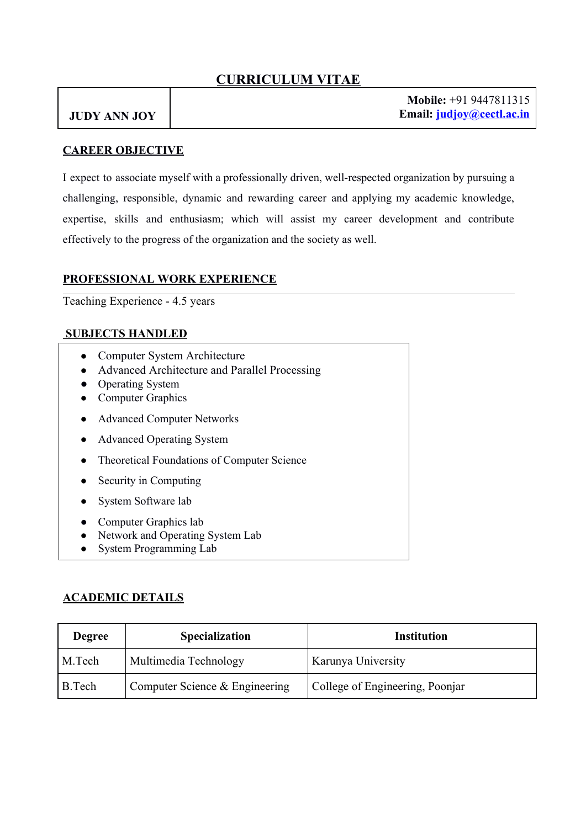# **CURRICULUM VITAE**

# **JUDY ANN JOY**

**Mobile:** +91 9447811315 **Email: judjoy@cectl.ac.in**

#### **CAREER OBJECTIVE**

I expect to associate myself with a professionally driven, well-respected organization by pursuing a challenging, responsible, dynamic and rewarding career and applying my academic knowledge, expertise, skills and enthusiasm; which will assist my career development and contribute effectively to the progress of the organization and the society as well.

#### **PROFESSIONAL WORK EXPERIENCE**

Teaching Experience - 4.5 years

#### **SUBJECTS HANDLED**

- Computer System Architecture
- Advanced Architecture and Parallel Processing
- Operating System
- Computer Graphics
- Advanced Computer Networks
- Advanced Operating System
- **Theoretical Foundations of Computer Science**
- Security in Computing
- System Software lab
- Computer Graphics lab
- Network and Operating System Lab
- System Programming Lab

#### **ACADEMIC DETAILS**

| <b>Degree</b> | <b>Specialization</b>          | <b>Institution</b>              |
|---------------|--------------------------------|---------------------------------|
| M.Tech        | Multimedia Technology          | Karunya University              |
| B.Tech        | Computer Science & Engineering | College of Engineering, Poonjar |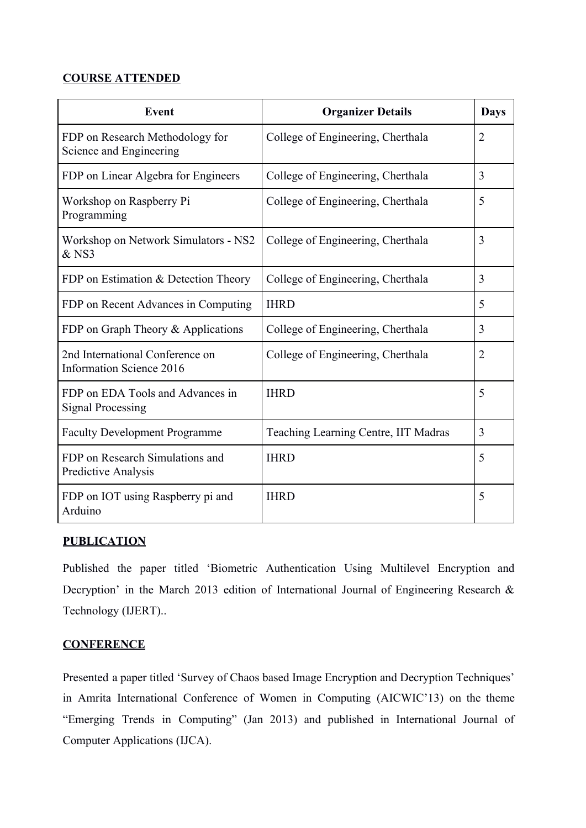### **COURSE ATTENDED**

| Event                                                              | <b>Organizer Details</b>             | <b>Days</b>    |
|--------------------------------------------------------------------|--------------------------------------|----------------|
| FDP on Research Methodology for<br>Science and Engineering         | College of Engineering, Cherthala    | $\overline{2}$ |
| FDP on Linear Algebra for Engineers                                | College of Engineering, Cherthala    | 3              |
| Workshop on Raspberry Pi<br>Programming                            | College of Engineering, Cherthala    | 5              |
| Workshop on Network Simulators - NS2<br>$&$ NS3                    | College of Engineering, Cherthala    | 3              |
| FDP on Estimation & Detection Theory                               | College of Engineering, Cherthala    | 3              |
| FDP on Recent Advances in Computing                                | <b>IHRD</b>                          | 5              |
| FDP on Graph Theory & Applications                                 | College of Engineering, Cherthala    | 3              |
| 2nd International Conference on<br><b>Information Science 2016</b> | College of Engineering, Cherthala    | $\overline{2}$ |
| FDP on EDA Tools and Advances in<br><b>Signal Processing</b>       | <b>IHRD</b>                          | 5              |
| <b>Faculty Development Programme</b>                               | Teaching Learning Centre, IIT Madras | 3              |
| FDP on Research Simulations and<br><b>Predictive Analysis</b>      | <b>IHRD</b>                          | 5              |
| FDP on IOT using Raspberry pi and<br>Arduino                       | <b>IHRD</b>                          | 5              |

### **PUBLICATION**

Published the paper titled 'Biometric Authentication Using Multilevel Encryption and Decryption' in the March 2013 edition of International Journal of Engineering Research & Technology (IJERT)..

### **CONFERENCE**

Presented a paper titled 'Survey of Chaos based Image Encryption and Decryption Techniques' in Amrita International Conference of Women in Computing (AICWIC'13) on the theme "Emerging Trends in Computing" (Jan 2013) and published in International Journal of Computer Applications (IJCA).